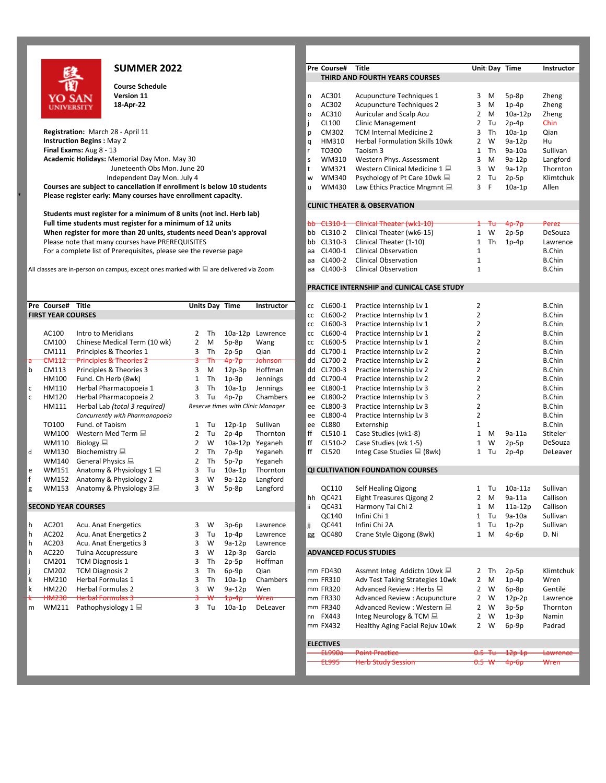

**Course Schedule**

\* **Please register early: Many courses have enrollment capacity.**

**Students must register for a minimum of 8 units (not incl. Herb lab)** When register for more than 20 units, students need Dean's approval For a complete list of Prerequisites, please see the reverse page and a CL400-1 Clinical Observation 1 B.Chinnel B.Chinnel B.Chinnel B.Chinnel B.Chinnel B.Chinnel B.Chinnel B.Chinnel B.Chinnel B.Chinnel B.Chinnel B.Chinnel

|                            | Pre Course# Title         |                                    |                |    | Units Day Time | Instructor                        | сc  | CL600-1                           | Practice Internship Lv 1                              | $\overline{2}$ |    |           | <b>B.Chin</b> |  |
|----------------------------|---------------------------|------------------------------------|----------------|----|----------------|-----------------------------------|-----|-----------------------------------|-------------------------------------------------------|----------------|----|-----------|---------------|--|
|                            | <b>FIRST YEAR COURSES</b> |                                    |                |    |                |                                   | СC  | CL600-2                           | Practice Internship Lv 1                              | 2              |    |           | <b>B.Chin</b> |  |
|                            |                           |                                    |                |    |                |                                   | CC  | CL600-3                           | Practice Internship Lv 1                              | 2              |    |           | <b>B.Chin</b> |  |
|                            | AC100                     | Intro to Meridians                 | 2              | Th | $10a-12p$      | Lawrence                          | СC  | CL600-4                           | Practice Internship Lv 1                              | $\overline{2}$ |    |           | <b>B.Chin</b> |  |
|                            | CM100                     | Chinese Medical Term (10 wk)       | 2              | M  | $5p-8p$        | Wang                              | СC  | CL600-5                           | Practice Internship Lv 1                              | $\overline{2}$ |    |           | <b>B.Chin</b> |  |
|                            | CM111                     | Principles & Theories 1            | 3              | Th | $2p-5p$        | Qian                              | dd  | CL700-1                           | Practice Internship Lv 2                              | $\overline{2}$ |    |           | <b>B.Chin</b> |  |
| ਰ                          | CM112                     | <b>Principles &amp; Theories 2</b> | ਤੇ             | Ŧħ | 4p-7p          | <b>Johnson</b>                    | dd  | CL700-2                           | Practice Internship Lv 2                              | $\overline{2}$ |    |           | <b>B.Chin</b> |  |
| b                          | CM113                     | Principles & Theories 3            | 3              | M  | $12p-3p$       | Hoffman                           | dd  | CL700-3                           | Practice Internship Lv 2                              | 2              |    |           | <b>B.Chin</b> |  |
|                            | HM100                     | Fund. Ch Herb (8wk)                | 1              | Th | $1p-3p$        | Jennings                          | dd  | CL700-4                           | Practice Internship Lv 2                              | 2              |    |           | <b>B.Chin</b> |  |
| l c                        | HM110                     | Herbal Pharmacopoeia 1             | 3              | Th | $10a-1p$       | Jennings                          | ee  | CL800-1                           | Practice Internship Lv 3                              | 2              |    |           | <b>B.Chin</b> |  |
| l c                        | HM120                     | Herbal Pharmacopoeia 2             | 3              | Tu | $4p-7p$        | Chambers                          | ee  | CL800-2                           | Practice Internship Lv 3                              | $\overline{2}$ |    |           | <b>B.Chin</b> |  |
|                            | HM111                     | Herbal Lab (total 3 required)      |                |    |                | Reserve times with Clinic Manager | ee  | CL800-3                           | Practice Internship Lv 3                              | 2              |    |           | <b>B.Chin</b> |  |
|                            |                           | Concurrently with Pharmanopoeia    |                |    |                |                                   | ee  | CL800-4                           | Practice Internship Lv 3                              | $\overline{2}$ |    |           | <b>B.Chin</b> |  |
|                            | TO100                     | Fund. of Taoism                    | 1              | Tu | $12p-1p$       | Sullivan                          | ee  | <b>CL880</b>                      | Externship                                            | 1              |    |           | <b>B.Chin</b> |  |
|                            | WM100                     | Western Med Term <b></b>           | $\overline{2}$ | Tu | $2p-4p$        | Thornton                          | ff  | CL510-1                           | Case Studies (wk1-8)                                  | 1              | M  | $9a-11a$  | Stiteler      |  |
|                            | WM110                     | Biology $\Box$                     | $\overline{2}$ | W  | $10a-12p$      | Yeganeh                           | ff  | CL510-2                           | Case Studies (wk 1-5)                                 | 1              | W  | $2p-5p$   | DeSouz        |  |
| d                          | WM130                     | Biochemistry <b></b>               | 2              | Th | $7p-9p$        | Yeganeh                           | ff  | CL520                             | Integ Case Studies ■ (8wk)                            | $\mathbf{1}$   | Tu | $2p-4p$   | DeLeav        |  |
|                            | WM140                     | General Physics 显                  | $\overline{2}$ | Th | $5p-7p$        | Yeganeh                           |     |                                   |                                                       |                |    |           |               |  |
| e                          | WM151                     | Anatomy & Physiology 1 显           | 3              | Tu | $10a-1p$       | Thornton                          |     | QI CULTIVATION FOUNDATION COURSES |                                                       |                |    |           |               |  |
| f                          | WM152                     | Anatomy & Physiology 2             | 3              | W  | 9a-12p         | Langford                          |     |                                   |                                                       |                |    |           |               |  |
| g                          | <b>WM153</b>              | Anatomy & Physiology 3             | 3              | W  | $5p-8p$        | Langford                          |     | QC110                             | Self Healing Qigong                                   | 1              | Tu | $10a-11a$ | Sullivar      |  |
|                            |                           |                                    |                |    |                |                                   | hh  | QC421                             | Eight Treasures Qigong 2                              | 2              | M  | $9a-11a$  | Callisor      |  |
| <b>SECOND YEAR COURSES</b> |                           |                                    |                |    |                |                                   | ii. | QC431                             | Harmony Tai Chi 2                                     | 1              | M  | $11a-12p$ | Callisor      |  |
|                            |                           |                                    |                |    |                |                                   |     | QC140                             | Infini Chi 1                                          | 1              | Tu | 9a-10a    | Sullivan      |  |
| h                          | AC201                     | Acu. Anat Energetics               | 3              | W  | $3p-6p$        | Lawrence                          | jj  | QC441                             | Infini Chi 2A                                         | 1              | Tu | $1p-2p$   | Sullivar      |  |
| h                          | AC202                     | Acu. Anat Energetics 2             | 3              | Tu | $1p-4p$        | Lawrence                          | gg  | QC480                             | Crane Style Qigong (8wk)                              | 1              | M  | $4p-6p$   | D. Ni         |  |
| h                          | AC203                     | Acu. Anat Energetics 3             | 3              | W  | $9a-12p$       | Lawrence                          |     |                                   |                                                       |                |    |           |               |  |
| h                          | AC220                     | Tuina Accupressure                 | 3              | W  | $12p-3p$       | Garcia                            |     |                                   | <b>ADVANCED FOCUS STUDIES</b>                         |                |    |           |               |  |
|                            | CM201                     | <b>TCM Diagnosis 1</b>             | 3              | Th | $2p-5p$        | Hoffman                           |     |                                   |                                                       |                |    |           |               |  |
|                            | CM202                     | <b>TCM Diagnosis 2</b>             | 3              | Th | $6p-9p$        | Qian                              |     | mm FD430                          | Assmnt Integ Addictn 10wk ■                           | $2^{\circ}$    | Th | $2p-5p$   | Klimtch       |  |
| k                          | HM210                     | Herbal Formulas 1                  | 3              | Th | $10a-1p$       | Chambers                          |     | mm FR310                          | Adv Test Taking Strategies 10wk                       | 2              | M  | $1p-4p$   | Wren          |  |
| ١k                         | HM220                     | <b>Herbal Formulas 2</b>           | 3              | W  | $9a-12p$       | Wen                               |     | mm FR320                          | Advanced Review: Herbs ■                              | 2              | W  | $6p-8p$   | Gentile       |  |
| ₩                          | <b>HM230</b>              | <b>Herbal Formulas 3</b>           |                |    | 1p-4p          | Wren                              |     | mm FR330                          | Advanced Review: Acupuncture                          | $\overline{2}$ | W  | $12p-2p$  | Lawren        |  |
| m                          | WM211                     | Pathophysiology $1 \equiv$         | 3              | Tu | $10a-1p$       | DeLeaver                          |     | mm FR340                          | Advanced Review : Western ■                           | 2              | W  | $3p-5p$   | Thornto       |  |
|                            |                           |                                    |                |    |                |                                   |     | nn FX443                          | Integ Neurology & TCM ■                               | $\mathbf{2}$   | W  | $1p-3p$   | Namin         |  |
|                            |                           |                                    |                |    |                |                                   |     |                                   | $\cdots$ $\cdots$ $\cdots$ $\cdots$ $\cdots$ $\cdots$ |                |    |           | .             |  |

## **SUMMER 2022 Pre** Course# Title **Department Instructor Unit:** Day Time Instructor **THIRD AND FOURTH YEARS COURSES Version 11** n AC301 Acupuncture Techniques 1 3 M 5p-8p Zheng **18-AC302** Acupuncture Techniques 2 3 M 1p-4p o AC310 Auricular and Scalp Acu 2 M 10a-12p Zheng j CL100 Clinic Management 2 Tu 2p-4p Chin **Registration:** March 28 - April 11 **Contrary and Contrary and Contrary Contrary Contrary Contrary Property Contra**<br> **Registration Begins :** May 2 U 2 2 M 2 2 M 2 2 M 2 2 M 3 2 M 2 2 M 3 12 M 3 10 M 2 2 W 3 a 12 p Hu q HM310 Herbal Formulation Skills 10wk **Final Exams:** Aug 8 - 13 **and 13 Contract Contract Contract Contract Contract Contract Contract Contract Contract Contract Contract Contract Contract Contract Contract Contract Contract Contract Contract Contract Contra Academic Holidays:** Memorial Day Mon. May 30 **Startup Langford** Startup Months Assessment 3 M 9a-12p Langford Juneteenth Obs Mon. June 20 the Communisty of the MM321 Western Clinical Medicine 1  $\Box$  3 W 9a-12p Thornton<br>Independent Day Mon. July 4 the Communisty of the WM340 Psychology of Pt Care 10wk  $\Box$  2 Tu 2p-5p Klimtchuk W WM340 Psychology of Pt Care 10wk  $\Box$ **Courses are subject to cancellation if enrollment is below 10 students under the U. WM430** Law Ethics Practice Mngmnt  $\Box$  3 F 10a-1p Allen **CLINIC THEATER & OBSERVATION Full time students must register for a minimum of 12 units** bb CL310-1 Clinical Theater (wk1-10) and the the 4p-7p Perez error of the total Theater (wk1-10) and the total Theater (wk6-15) and theater (wk6-15) and the tota Please note that many courses have PREREQUISITES **b CL310-3** Clinical Theater (1-10) 1 Th 1p-4p Lawrence<br>For a complete list of Prerequisites, please see the reverse page a clack a CL400-1 Clinical Observation 1 B.Chin aa CL400-2 Clinical Observation 1 a.C. B.Chin All classes are in-person on campus, except ones marked with  $\Box$  are delivered via Zoom and CL400-3 Clinical Observation 1 B.Chin **PRACTICE INTERNSHIP and CLINICAL CASE STUDY Prese CL600-1 Practice Internship Lv 1 2 2 B.Chin<br>
<b>Prepare LLGO0-2** Practice Internship Lv 1 2 2 B.Chin **FIRST 2** CL600-2 Practice Internship Lv 1 cc CL600-3 Practice Internship Lv 1 2 2 B.Chin cc CL600-4 Practice Internship Lv 1 2 2 B.Chin<br>
cc CL600-5 Practice Internship Lv 1 2 2 B.Chin Practice Internship Lv 1 dd CL700-1 Practice Internship Lv 2 2 B.Chin dd CL700-2 Practice Internship Lv 2 2 3 B.Chin dd CL700-3 Practice Internship Lv 2 2 2 B.Chin dd CL700-4 Practice Internship Lv 2 2 2 B.Chin ee CL800-1 Practice Internship Lv 3 2 2 B.Chin<br>
ee CL800-2 Practice Internship Lv 3 2 2 B.Chin Practice Internship Lv 3 ee CL800-3 Practice Internship Lv 3 2 2 B.Chin *Concurrently with Pharmanopoeia* ee CL800-4 Practice Internship Lv 3 2 B.Chin TO100 Fund. of Taoism 1 Tu 12p-1p Sullivan ee CL880 Externship 1 B.Chin ff CL510-1 Case Studies (wk1-8) 1 M 9a-11a Stiteler ff CL510-2 Case Studies (wk 1-5)  $1 \text{ W}$  2p-5p DeSouza<br>ff CL520 Integ Case Studies  $\equiv$  (8wk)  $1 \text{ T}$ u 2p-4p DeLeaver Integ Case Studies  $\Box$  (8wk) 1 Tu 2p-4p **QI CULTIVATION FOUNDATION COURSES** QC110 Self Healing Qigong 1 Tu 10a-11a Sullivan hh QC421 Eight Treasures Qigong 2 2 M 9a-11a Callison<br>ii QC431 Harmony Tai Chi 2 1 M 11a-12p Callison **SECOND YEAR COURSES** in the community of the community of the community of the community of the community of the community of the community of the community of the community of the community of the community of the commun QC140 Infini Chi 1 1 Tu 9a-10a Sullivan gg QC480 Crane Style Qigong (8wk) 1 M 4p-6p D. Ni **ADVANCED FOCUS STUDIES** mm FD430 Assmnt Integ Addictn 10wk 2 7 Th 2p-5p Klimtchuk mm FR310 Adv Test Taking Strategies 10wk 2 M 1p-4p Wren mm FR320 Advanced Review : Herbs  $\Box$  2 W 6p-8p Gentile<br>mm FR330 Advanced Review : Acupuncture 2 W 12p-2p Lawrence Advanced Review : Acupuncture 2 W 12p-2p mm FR340 Advanced Review : Western 2 2 W 3p-5p Thornton nn FX443 Integ Neurology & TCM 2 W 1p-3p Namin mm FX432 Healthy Aging Facial Rejuv 10wk 2 W 6p-9p Padrad ELECTIVES<br><del>------ FL990a</del> Point Practice 2008 CD-12p-1p Lawrence EL995 Herb Study Session 0.5 W 4p-6p Wren